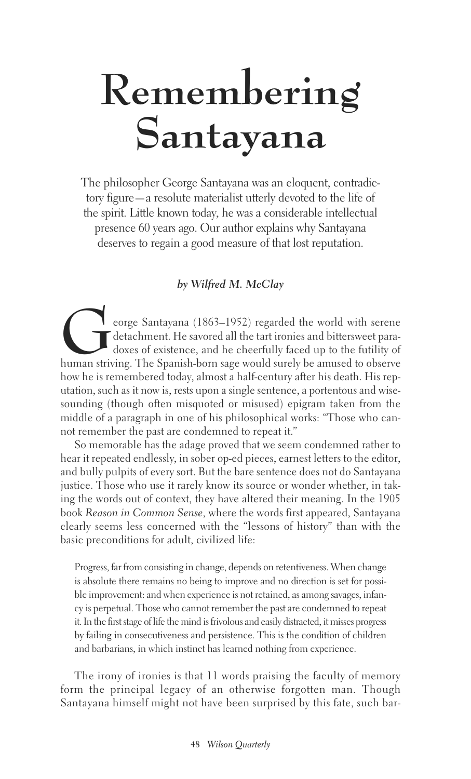The philosopher George Santayana was an eloquent, contradictory figure—a resolute materialist utterly devoted to the life of the spirit. Little known today, he was a considerable intellectual presence 60 years ago. Our author explains why Santayana deserves to regain a good measure of that lost reputation.

# *by Wilfred M. McClay*

eorge Santayana (1863–1952) regarded the world with serene<br>detachment. He savored all the tart ironies and bittersweet para-<br>doxes of existence, and he cheerfully faced up to the futility of<br>human striving. The Spanish-bor detachment. He savored all the tart ironies and bittersweet paradoxes of existence, and he cheerfully faced up to the futility of human striving. The Spanish-born sage would surely be amused to observe how he is remembered today, almost a half-century after his death. His reputation, such as it now is, rests upon a single sentence, a portentous and wisesounding (though often misquoted or misused) epigram taken from the middle of a paragraph in one of his philosophical works: "Those who cannot remember the past are condemned to repeat it."

So memorable has the adage proved that we seem condemned rather to hear it repeated endlessly, in sober op-ed pieces, earnest letters to the editor, and bully pulpits of every sort. But the bare sentence does not do Santayana justice. Those who use it rarely know its source or wonder whether, in taking the words out of context, they have altered their meaning. In the 1905 book *Reason in Common Sense*, where the words first appeared, Santayana clearly seems less concerned with the "lessons of history" than with the basic preconditions for adult, civilized life:

Progress, far from consisting in change, depends on retentiveness. When change is absolute there remains no being to improve and no direction is set for possible improvement: and when experience is not retained, as among savages, infancy is perpetual. Those who cannot remember the past are condemned to repeat it. In the first stage of life the mind is frivolous and easily distracted, it misses progress by failing in consecutiveness and persistence. This is the condition of children and barbarians, in which instinct has learned nothing from experience.

The irony of ironies is that 11 words praising the faculty of memory form the principal legacy of an otherwise forgotten man. Though Santayana himself might not have been surprised by this fate, such bar-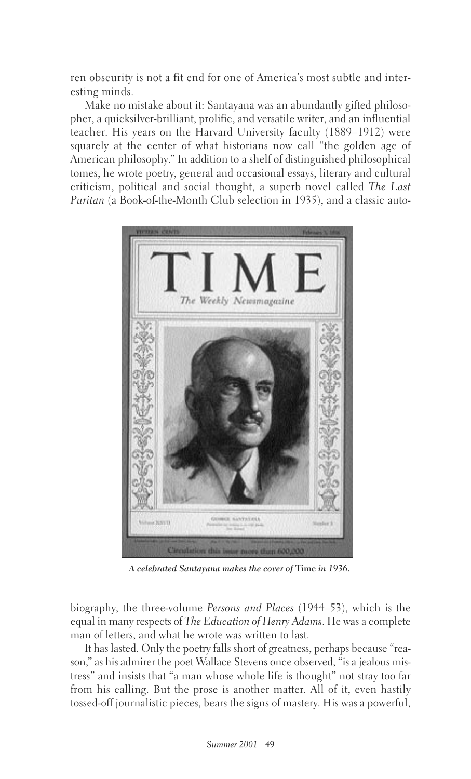ren obscurity is not a fit end for one of America's most subtle and interesting minds.

Make no mistake about it: Santayana was an abundantly gifted philosopher, a quicksilver-brilliant, prolific, and versatile writer, and an influential teacher. His years on the Harvard University faculty (1889–1912) were squarely at the center of what historians now call "the golden age of American philosophy." In addition to a shelf of distinguished philosophical tomes, he wrote poetry, general and occasional essays, literary and cultural criticism, political and social thought, a superb novel called *The Last Puritan* (a Book-of-the-Month Club selection in 1935), and a classic auto-



*A celebrated Santayana makes the cover of* **Time** *in 1936.*

biography, the three-volume *Persons and Places* (1944–53), which is the equal in many respects of *The Education of Henry Adams*. He was a complete man of letters, and what he wrote was written to last.

It has lasted. Only the poetry falls short of greatness, perhaps because "reason," as his admirer the poet Wallace Stevens once observed, "is a jealous mistress" and insists that "a man whose whole life is thought" not stray too far from his calling. But the prose is another matter. All of it, even hastily tossed-off journalistic pieces, bears the signs of mastery. His was a powerful,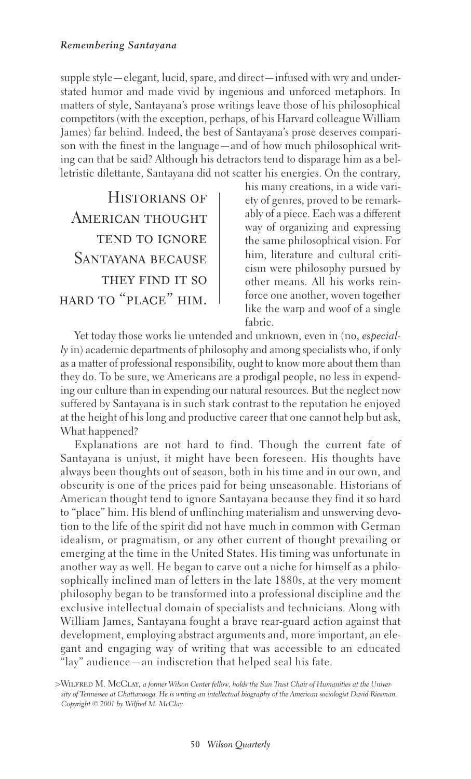supple style—elegant, lucid, spare, and direct—infused with wry and understated humor and made vivid by ingenious and unforced metaphors. In matters of style, Santayana's prose writings leave those of his philosophical competitors (with the exception, perhaps, of his Harvard colleague William James) far behind. Indeed, the best of Santayana's prose deserves comparison with the finest in the language—and of how much philosophical writing can that be said? Although his detractors tend to disparage him as a belletristic dilettante, Santayana did not scatter his energies. On the contrary,

Historians of American thought TEND TO IGNORE Santayana because THEY FIND IT SO hard to "place" him. his many creations, in a wide variety of genres, proved to be remarkably of a piece. Each was a different way of organizing and expressing the same philosophical vision. For him, literature and cultural criticism were philosophy pursued by other means. All his works reinforce one another, woven together like the warp and woof of a single fabric.

Yet today those works lie untended and unknown, even in (no, *especially* in) academic departments of philosophy and among specialists who, if only as a matter of professional responsibility, ought to know more about them than they do. To be sure, we Americans are a prodigal people, no less in expending our culture than in expending our natural resources. But the neglect now suffered by Santayana is in such stark contrast to the reputation he enjoyed at the height of his long and productive career that one cannot help but ask, What happened?

Explanations are not hard to find. Though the current fate of Santayana is unjust, it might have been foreseen. His thoughts have always been thoughts out of season, both in his time and in our own, and obscurity is one of the prices paid for being unseasonable. Historians of American thought tend to ignore Santayana because they find it so hard to "place" him. His blend of unflinching materialism and unswerving devotion to the life of the spirit did not have much in common with German idealism, or pragmatism, or any other current of thought prevailing or emerging at the time in the United States. His timing was unfortunate in another way as well. He began to carve out a niche for himself as a philosophically inclined man of letters in the late 1880s, at the very moment philosophy began to be transformed into a professional discipline and the exclusive intellectual domain of specialists and technicians. Along with William James, Santayana fought a brave rear-guard action against that development, employing abstract arguments and, more important, an elegant and engaging way of writing that was accessible to an educated "lay" audience—an indiscretion that helped seal his fate.

<sup>&</sup>gt;WILFRED M. MCCLAY, *a former Wilson Center fellow, holds the Sun Trust Chair of Humanities at the University of Tennessee at Chattanooga. He is writing an intellectual biography of the American sociologist David Riesman. Copyright © 2001 by Wilfred M. McClay.*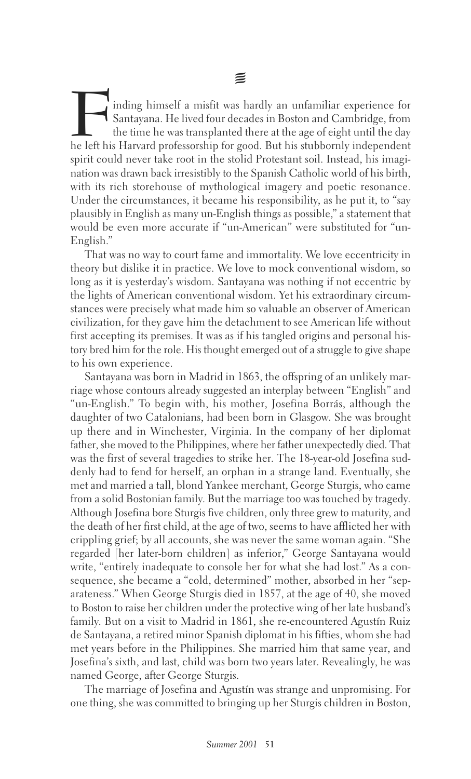Finding himself a misfit was hardly an unfamiliar experience for Santayana. He lived four decades in Boston and Cambridge, from the time he was transplanted there at the age of eight until the day he left his Harvard profe Santayana. He lived four decades in Boston and Cambridge, from the time he was transplanted there at the age of eight until the day he left his Harvard professorship for good. But his stubbornly independent spirit could never take root in the stolid Protestant soil. Instead, his imagination was drawn back irresistibly to the Spanish Catholic world of his birth, with its rich storehouse of mythological imagery and poetic resonance. Under the circumstances, it became his responsibility, as he put it, to "say plausibly in English as many un-English things as possible," a statement that would be even more accurate if "un-American" were substituted for "un-English."

That was no way to court fame and immortality. We love eccentricity in theory but dislike it in practice. We love to mock conventional wisdom, so long as it is yesterday's wisdom. Santayana was nothing if not eccentric by the lights of American conventional wisdom. Yet his extraordinary circumstances were precisely what made him so valuable an observer of American civilization, for they gave him the detachment to see American life without first accepting its premises. It was as if his tangled origins and personal history bred him for the role. His thought emerged out of a struggle to give shape to his own experience.

Santayana was born in Madrid in 1863, the offspring of an unlikely marriage whose contours already suggested an interplay between "English" and "un-English." To begin with, his mother, Josefina Borrás, although the daughter of two Catalonians, had been born in Glasgow. She was brought up there and in Winchester, Virginia. In the company of her diplomat father, she moved to the Philippines, where her father unexpectedly died. That was the first of several tragedies to strike her. The 18-year-old Josefina suddenly had to fend for herself, an orphan in a strange land. Eventually, she met and married a tall, blond Yankee merchant, George Sturgis, who came from a solid Bostonian family. But the marriage too was touched by tragedy. Although Josefina bore Sturgis five children, only three grew to maturity, and the death of her first child, at the age of two, seems to have afflicted her with crippling grief; by all accounts, she was never the same woman again. "She regarded [her later-born children] as inferior," George Santayana would write, "entirely inadequate to console her for what she had lost." As a consequence, she became a "cold, determined" mother, absorbed in her "separateness." When George Sturgis died in 1857, at the age of 40, she moved to Boston to raise her children under the protective wing of her late husband's family. But on a visit to Madrid in 1861, she re-encountered Agustín Ruiz de Santayana, a retired minor Spanish diplomat in his fifties, whom she had met years before in the Philippines. She married him that same year, and Josefina's sixth, and last, child was born two years later. Revealingly, he was named George, after George Sturgis.

The marriage of Josefina and Agustín was strange and unpromising. For one thing, she was committed to bringing up her Sturgis children in Boston,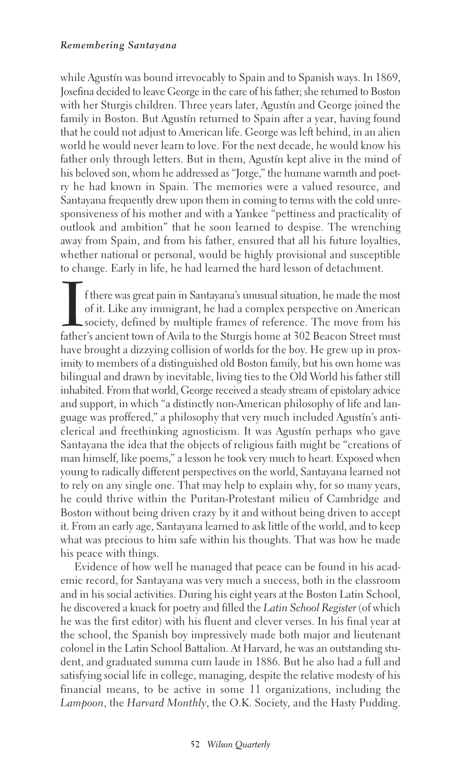while Agustín was bound irrevocably to Spain and to Spanish ways. In 1869, Josefina decided to leave George in the care of his father; she returned to Boston with her Sturgis children. Three years later, Agustín and George joined the family in Boston. But Agustín returned to Spain after a year, having found that he could not adjust to American life. George was left behind, in an alien world he would never learn to love. For the next decade, he would know his father only through letters. But in them, Agustín kept alive in the mind of his beloved son, whom he addressed as "Jorge," the humane warmth and poetry he had known in Spain. The memories were a valued resource, and Santayana frequently drew upon them in coming to terms with the cold unresponsiveness of his mother and with a Yankee "pettiness and practicality of outlook and ambition" that he soon learned to despise. The wrenching away from Spain, and from his father, ensured that all his future loyalties, whether national or personal, would be highly provisional and susceptible to change. Early in life, he had learned the hard lesson of detachment.

**I I I I**f there was great pain in Santayana's unusual situation, he made the most of it. Like any immigrant, he had a complex perspective on American society, defined by multiple frames of reference. The move from f there was great pain in Santayana's unusual situation, he made the most of it. Like any immigrant, he had a complex perspective on American society, defined by multiple frames of reference. The move from his have brought a dizzying collision of worlds for the boy. He grew up in proximity to members of a distinguished old Boston family, but his own home was bilingual and drawn by inevitable, living ties to the Old World his father still inhabited. From that world, George received a steady stream of epistolary advice and support, in which "a distinctly non-American philosophy of life and language was proffered," a philosophy that very much included Agustín's anticlerical and freethinking agnosticism. It was Agustín perhaps who gave Santayana the idea that the objects of religious faith might be "creations of man himself, like poems," a lesson he took very much to heart. Exposed when young to radically different perspectives on the world, Santayana learned not to rely on any single one. That may help to explain why, for so many years, he could thrive within the Puritan-Protestant milieu of Cambridge and Boston without being driven crazy by it and without being driven to accept it. From an early age, Santayana learned to ask little of the world, and to keep what was precious to him safe within his thoughts. That was how he made his peace with things.

Evidence of how well he managed that peace can be found in his academic record, for Santayana was very much a success, both in the classroom and in his social activities. During his eight years at the Boston Latin School, he discovered a knack for poetry and filled the *Latin School Register* (of which he was the first editor) with his fluent and clever verses. In his final year at the school, the Spanish boy impressively made both major and lieutenant colonel in the Latin School Battalion. At Harvard, he was an outstanding student, and graduated summa cum laude in 1886. But he also had a full and satisfying social life in college, managing, despite the relative modesty of his financial means, to be active in some 11 organizations, including the *Lampoon*, the *Harvard Monthly*, the O.K. Society, and the Hasty Pudding.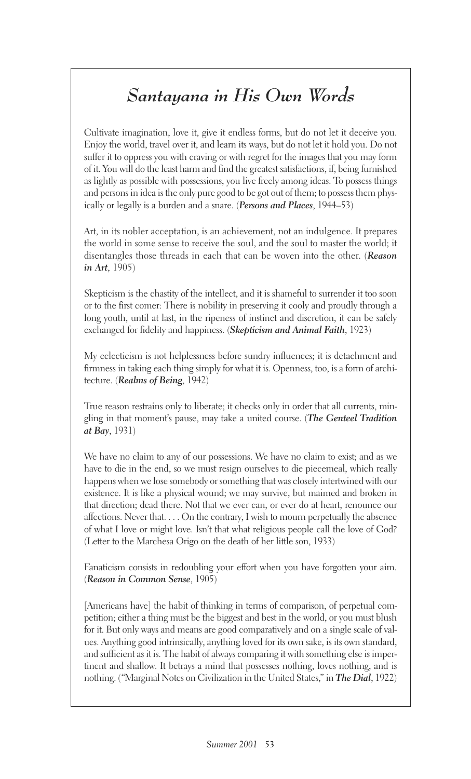# *Santayana in His Own Words*

Cultivate imagination, love it, give it endless forms, but do not let it deceive you. Enjoy the world, travel over it, and learn its ways, but do not let it hold you. Do not suffer it to oppress you with craving or with regret for the images that you may form of it. You will do the least harm and find the greatest satisfactions, if, being furnished as lightly as possible with possessions, you live freely among ideas. To possess things and persons in idea is the only pure good to be got out of them; to possess them physically or legally is a burden and a snare. (*Persons and Places*, 1944–53)

Art, in its nobler acceptation, is an achievement, not an indulgence. It prepares the world in some sense to receive the soul, and the soul to master the world; it disentangles those threads in each that can be woven into the other. (*Reason in Art*, 1905)

Skepticism is the chastity of the intellect, and it is shameful to surrender it too soon or to the first comer: There is nobility in preserving it cooly and proudly through a long youth, until at last, in the ripeness of instinct and discretion, it can be safely exchanged for fidelity and happiness. (*Skepticism and Animal Faith*, 1923)

My eclecticism is not helplessness before sundry influences; it is detachment and firmness in taking each thing simply for what it is. Openness, too, is a form of architecture. (*Realms of Being*, 1942)

True reason restrains only to liberate; it checks only in order that all currents, mingling in that moment's pause, may take a united course. (*The Genteel Tradition at Bay*, 1931)

We have no claim to any of our possessions. We have no claim to exist; and as we have to die in the end, so we must resign ourselves to die piecemeal, which really happens when we lose somebody or something that was closely intertwined with our existence. It is like a physical wound; we may survive, but maimed and broken in that direction; dead there. Not that we ever can, or ever do at heart, renounce our affections. Never that. . . . On the contrary, I wish to mourn perpetually the absence of what I love or might love. Isn't that what religious people call the love of God? (Letter to the Marchesa Origo on the death of her little son, 1933)

Fanaticism consists in redoubling your effort when you have forgotten your aim. (*Reason in Common Sense*, 1905)

[Americans have] the habit of thinking in terms of comparison, of perpetual competition; either a thing must be the biggest and best in the world, or you must blush for it. But only ways and means are good comparatively and on a single scale of values. Anything good intrinsically, anything loved for its own sake, is its own standard, and sufficient as it is. The habit of always comparing it with something else is impertinent and shallow. It betrays a mind that possesses nothing, loves nothing, and is nothing. (*"*Marginal Notes on Civilization in the United States," in *The Dial*, 1922)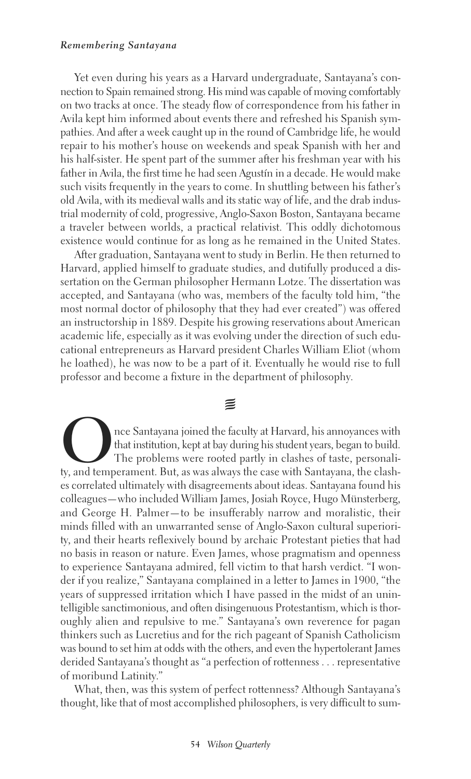Yet even during his years as a Harvard undergraduate, Santayana's connection to Spain remained strong. His mind was capable of moving comfortably on two tracks at once. The steady flow of correspondence from his father in Avila kept him informed about events there and refreshed his Spanish sympathies. And after a week caught up in the round of Cambridge life, he would repair to his mother's house on weekends and speak Spanish with her and his half-sister. He spent part of the summer after his freshman year with his father in Avila, the first time he had seen Agustín in a decade. He would make such visits frequently in the years to come. In shuttling between his father's old Avila, with its medieval walls and its static way of life, and the drab industrial modernity of cold, progressive, Anglo-Saxon Boston, Santayana became a traveler between worlds, a practical relativist. This oddly dichotomous existence would continue for as long as he remained in the United States.

After graduation, Santayana went to study in Berlin. He then returned to Harvard, applied himself to graduate studies, and dutifully produced a dissertation on the German philosopher Hermann Lotze. The dissertation was accepted, and Santayana (who was, members of the faculty told him, "the most normal doctor of philosophy that they had ever created") was offered an instructorship in 1889. Despite his growing reservations about American academic life, especially as it was evolving under the direction of such educational entrepreneurs as Harvard president Charles William Eliot (whom he loathed), he was now to be a part of it. Eventually he would rise to full professor and become a fixture in the department of philosophy.

 $\equiv$ 

The Santayana joined the faculty at Harvard, his annoyances with<br>that institution, kept at bay during his student years, began to build.<br>The problems were rooted partly in clashes of taste, personali-<br>ty, and temperament. that institution, kept at bay during his student years, began to build. The problems were rooted partly in clashes of taste, personalies correlated ultimately with disagreements about ideas. Santayana found his colleagues—who included William James, Josiah Royce, Hugo Münsterberg, and George H. Palmer—to be insufferably narrow and moralistic, their minds filled with an unwarranted sense of Anglo-Saxon cultural superiority, and their hearts reflexively bound by archaic Protestant pieties that had no basis in reason or nature. Even James, whose pragmatism and openness to experience Santayana admired, fell victim to that harsh verdict. "I wonder if you realize," Santayana complained in a letter to James in 1900, "the years of suppressed irritation which I have passed in the midst of an unintelligible sanctimonious, and often disingenuous Protestantism, which is thoroughly alien and repulsive to me." Santayana's own reverence for pagan thinkers such as Lucretius and for the rich pageant of Spanish Catholicism was bound to set him at odds with the others, and even the hypertolerant James derided Santayana's thought as "a perfection of rottenness... representative of moribund Latinity."

What, then, was this system of perfect rottenness? Although Santayana's thought, like that of most accomplished philosophers, is very difficult to sum-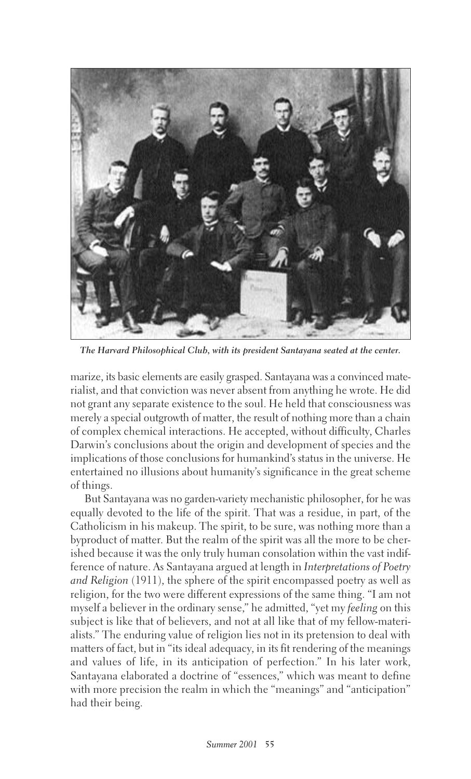

*The Harvard Philosophical Club, with its president Santayana seated at the center.*

marize, its basic elements are easily grasped. Santayana was a convinced materialist, and that conviction was never absent from anything he wrote. He did not grant any separate existence to the soul. He held that consciousness was merely a special outgrowth of matter, the result of nothing more than a chain of complex chemical interactions. He accepted, without difficulty, Charles Darwin's conclusions about the origin and development of species and the implications of those conclusions for humankind's status in the universe. He entertained no illusions about humanity's significance in the great scheme of things.

But Santayana was no garden-variety mechanistic philosopher, for he was equally devoted to the life of the spirit. That was a residue, in part, of the Catholicism in his makeup. The spirit, to be sure, was nothing more than a byproduct of matter. But the realm of the spirit was all the more to be cherished because it was the only truly human consolation within the vast indifference of nature. As Santayana argued at length in *Interpretations of Poetry and Religion* (1911), the sphere of the spirit encompassed poetry as well as religion, for the two were different expressions of the same thing. "I am not myself a believer in the ordinary sense," he admitted, "yet my *feeling* on this subject is like that of believers, and not at all like that of my fellow-materialists." The enduring value of religion lies not in its pretension to deal with matters of fact, but in "its ideal adequacy, in its fit rendering of the meanings and values of life, in its anticipation of perfection." In his later work, Santayana elaborated a doctrine of "essences," which was meant to define with more precision the realm in which the "meanings" and "anticipation" had their being.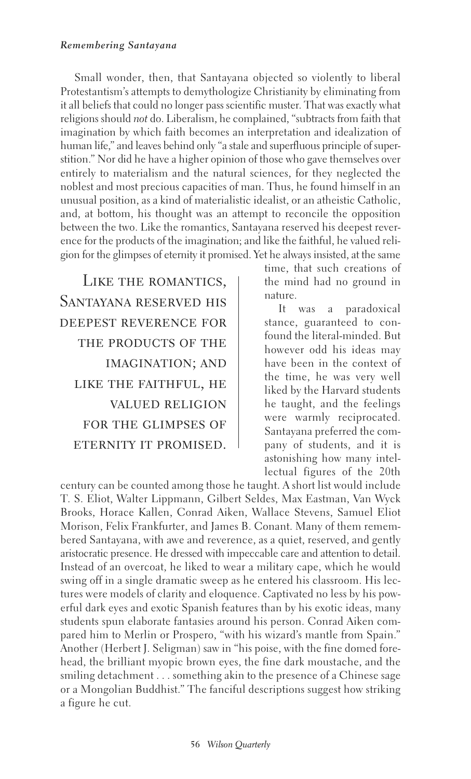Small wonder, then, that Santayana objected so violently to liberal Protestantism's attempts to demythologize Christianity by eliminating from it all beliefs that could no longer pass scientific muster. That was exactly what religions should *not* do. Liberalism, he complained, "subtracts from faith that imagination by which faith becomes an interpretation and idealization of human life," and leaves behind only "a stale and superfluous principle of superstition." Nor did he have a higher opinion of those who gave themselves over entirely to materialism and the natural sciences, for they neglected the noblest and most precious capacities of man. Thus, he found himself in an unusual position, as a kind of materialistic idealist, or an atheistic Catholic, and, at bottom, his thought was an attempt to reconcile the opposition between the two. Like the romantics, Santayana reserved his deepest reverence for the products of the imagination; and like the faithful, he valued religion for the glimpses of eternity it promised. Yet he always insisted, at the same

Like the romantics, Santayana reserved his deepest reverence for THE PRODUCTS OF THE imagination; and like the faithful, he valued religion for the glimpses of eternity it promised.

time, that such creations of the mind had no ground in nature.

It was a paradoxical stance, guaranteed to confound the literal-minded. But however odd his ideas may have been in the context of the time, he was very well liked by the Harvard students he taught, and the feelings were warmly reciprocated. Santayana preferred the company of students, and it is astonishing how many intellectual figures of the 20th

century can be counted among those he taught. A short list would include T. S. Eliot, Walter Lippmann, Gilbert Seldes, Max Eastman, Van Wyck Brooks, Horace Kallen, Conrad Aiken, Wallace Stevens, Samuel Eliot Morison, Felix Frankfurter, and James B. Conant. Many of them remembered Santayana, with awe and reverence, as a quiet, reserved, and gently aristocratic presence. He dressed with impeccable care and attention to detail. Instead of an overcoat, he liked to wear a military cape, which he would swing off in a single dramatic sweep as he entered his classroom. His lectures were models of clarity and eloquence. Captivated no less by his powerful dark eyes and exotic Spanish features than by his exotic ideas, many students spun elaborate fantasies around his person. Conrad Aiken compared him to Merlin or Prospero, "with his wizard's mantle from Spain." Another (Herbert J. Seligman) saw in "his poise, with the fine domed forehead, the brilliant myopic brown eyes, the fine dark moustache, and the smiling detachment . . . something akin to the presence of a Chinese sage or a Mongolian Buddhist." The fanciful descriptions suggest how striking a figure he cut.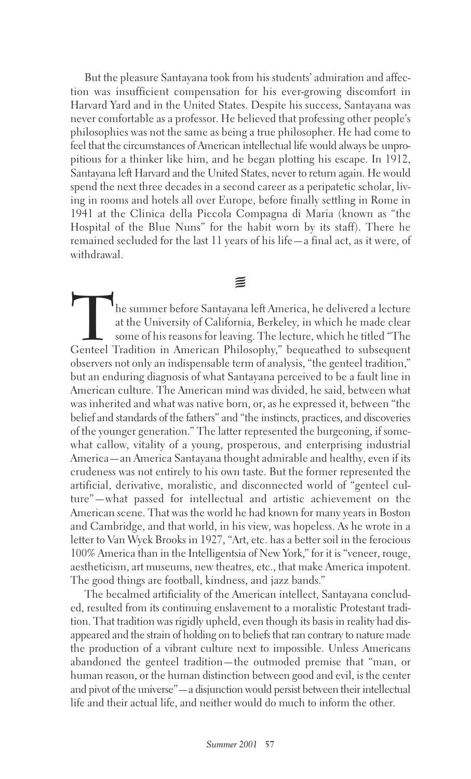But the pleasure Santayana took from his students' admiration and affection was insufficient compensation for his ever-growing discomfort in Harvard Yard and in the United States. Despite his success, Santayana was never comfortable as a professor. He believed that professing other people's philosophies was not the same as being a true philosopher. He had come to feel that the circumstances of American intellectual life would always be unpropitious for a thinker like him, and he began plotting his escape. In 1912, Santayana left Harvard and the United States, never to return again. He would spend the next three decades in a second career as a peripatetic scholar, living in rooms and hotels all over Europe, before finally settling in Rome in 1941 at the Clinica della Piccola Compagna di Maria (known as "the Hospital of the Blue Nuns" for the habit worn by its staff). There he remained secluded for the last 11 years of his life—a final act, as it were, of withdrawal.

 $\widetilde{\equiv}$ 

**T**he summer before Santayana left America, he delivered a lecture at the University of California, Berkeley, in which he made clear some of his reasons for leaving. The lecture, which he titled "The Genteel Tradition in American Philosophy," bequeathed to subsequent observers not only an indispensable term of analysis, "the genteel tradition," but an enduring diagnosis of what Santayana perceived to be a fault line in American culture. The American mind was divided, he said, between what was inherited and what was native born, or, as he expressed it, between "the belief and standards of the fathers" and "the instincts, practices, and discoveries of the younger generation." The latter represented the burgeoning, if somewhat callow, vitality of a young, prosperous, and enterprising industrial America—an America Santayana thought admirable and healthy, even if its crudeness was not entirely to his own taste. But the former represented the artificial, derivative, moralistic, and disconnected world of "genteel culture"—what passed for intellectual and artistic achievement on the American scene. That was the world he had known for many years in Boston and Cambridge, and that world, in his view, was hopeless. As he wrote in a letter to Van Wyck Brooks in 1927, "Art, etc. has a better soil in the ferocious 100% America than in the Intelligentsia of New York," for it is "veneer, rouge, aestheticism, art museums, new theatres, etc., that make America impotent. The good things are football, kindness, and jazz bands."

The becalmed artificiality of the American intellect, Santayana concluded, resulted from its continuing enslavement to a moralistic Protestant tradition. That tradition was rigidly upheld, even though its basis in reality had disappeared and the strain of holding on to beliefs that ran contrary to nature made the production of a vibrant culture next to impossible. Unless Americans abandoned the genteel tradition—the outmoded premise that "man, or human reason, or the human distinction between good and evil, is the center and pivot of the universe"—a disjunction would persist between their intellectual life and their actual life, and neither would do much to inform the other.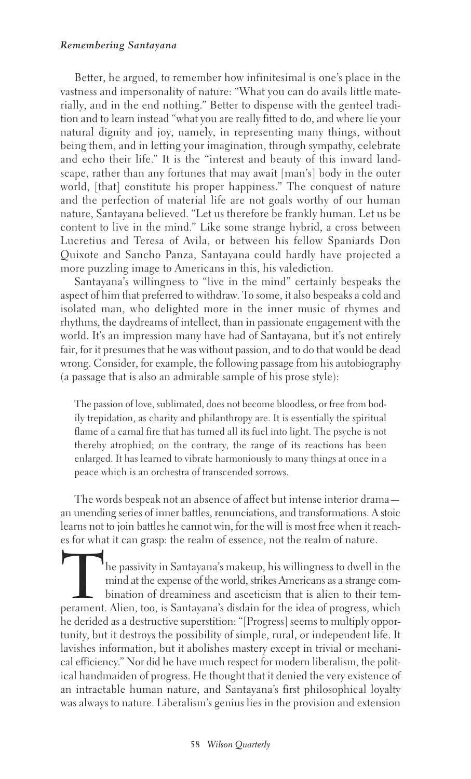Better, he argued, to remember how infinitesimal is one's place in the vastness and impersonality of nature: "What you can do avails little materially, and in the end nothing." Better to dispense with the genteel tradition and to learn instead "what you are really fitted to do, and where lie your natural dignity and joy, namely, in representing many things, without being them, and in letting your imagination, through sympathy, celebrate and echo their life." It is the "interest and beauty of this inward landscape, rather than any fortunes that may await [man's] body in the outer world, [that] constitute his proper happiness." The conquest of nature and the perfection of material life are not goals worthy of our human nature, Santayana believed. "Let us therefore be frankly human. Let us be content to live in the mind." Like some strange hybrid, a cross between Lucretius and Teresa of Avila, or between his fellow Spaniards Don Quixote and Sancho Panza, Santayana could hardly have projected a more puzzling image to Americans in this, his valediction.

Santayana's willingness to "live in the mind" certainly bespeaks the aspect of him that preferred to withdraw. To some, it also bespeaks a cold and isolated man, who delighted more in the inner music of rhymes and rhythms, the daydreams of intellect, than in passionate engagement with the world. It's an impression many have had of Santayana, but it's not entirely fair, for it presumes that he was without passion, and to do that would be dead wrong. Consider, for example, the following passage from his autobiography (a passage that is also an admirable sample of his prose style):

The passion of love, sublimated, does not become bloodless, or free from bodily trepidation, as charity and philanthropy are. It is essentially the spiritual flame of a carnal fire that has turned all its fuel into light. The psyche is not thereby atrophied; on the contrary, the range of its reactions has been enlarged. It has learned to vibrate harmoniously to many things at once in a peace which is an orchestra of transcended sorrows.

The words bespeak not an absence of affect but intense interior drama an unending series of inner battles, renunciations, and transformations. A stoic learns not to join battles he cannot win, for the will is most free when it reaches for what it can grasp: the realm of essence, not the realm of nature.

**T**he passivity in Santayana's makeup, his willingness to dwell in the mind at the expense of the world, strikes Americans as a strange combination of dreaminess and asceticism that is alien to their temperament. Alien, too, is Santayana's disdain for the idea of progress, which he derided as a destructive superstition: "[Progress] seems to multiply opportunity, but it destroys the possibility of simple, rural, or independent life. It lavishes information, but it abolishes mastery except in trivial or mechanical efficiency." Nor did he have much respect for modern liberalism, the political handmaiden of progress. He thought that it denied the very existence of an intractable human nature, and Santayana's first philosophical loyalty was always to nature. Liberalism's genius lies in the provision and extension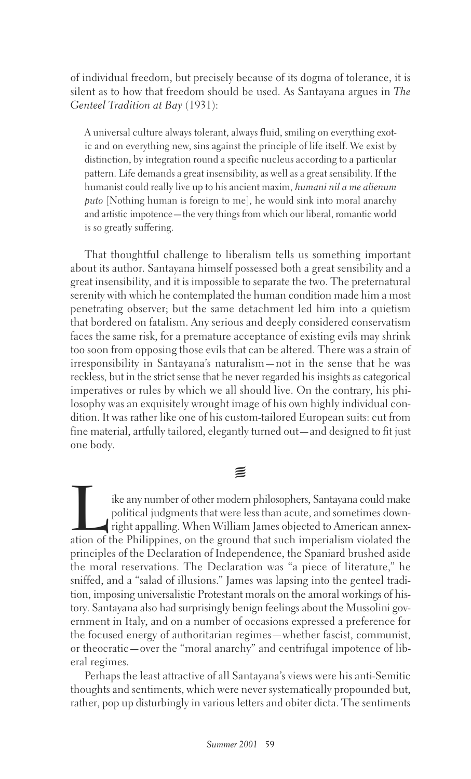of individual freedom, but precisely because of its dogma of tolerance, it is silent as to how that freedom should be used. As Santayana argues in *The Genteel Tradition at Bay* (1931):

A universal culture always tolerant, always fluid, smiling on everything exotic and on everything new, sins against the principle of life itself. We exist by distinction, by integration round a specific nucleus according to a particular pattern. Life demands a great insensibility, as well as a great sensibility. If the humanist could really live up to his ancient maxim, *humani nil a me alienum puto* [Nothing human is foreign to me], he would sink into moral anarchy and artistic impotence—the very things from which our liberal, romantic world is so greatly suffering.

That thoughtful challenge to liberalism tells us something important about its author. Santayana himself possessed both a great sensibility and a great insensibility, and it is impossible to separate the two. The preternatural serenity with which he contemplated the human condition made him a most penetrating observer; but the same detachment led him into a quietism that bordered on fatalism. Any serious and deeply considered conservatism faces the same risk, for a premature acceptance of existing evils may shrink too soon from opposing those evils that can be altered. There was a strain of irresponsibility in Santayana's naturalism—not in the sense that he was reckless, but in the strict sense that he never regarded his insights as categorical imperatives or rules by which we all should live. On the contrary, his philosophy was an exquisitely wrought image of his own highly individual condition. It was rather like one of his custom-tailored European suits: cut from fine material, artfully tailored, elegantly turned out—and designed to fit just one body.

### $\widetilde{\equiv}$

ike any number of other modern philosophers, Santayana could make<br>political judgments that were less than acute, and sometimes down-<br>right appalling. When William James objected to American annex-<br>ation of the Philippines, political judgments that were less than acute, and sometimes downright appalling. When William James objected to American annexation of the Philippines, on the ground that such imperialism violated the principles of the Declaration of Independence, the Spaniard brushed aside the moral reservations. The Declaration was "a piece of literature," he sniffed, and a "salad of illusions." James was lapsing into the genteel tradition, imposing universalistic Protestant morals on the amoral workings of history. Santayana also had surprisingly benign feelings about the Mussolini government in Italy, and on a number of occasions expressed a preference for the focused energy of authoritarian regimes—whether fascist, communist, or theocratic—over the "moral anarchy" and centrifugal impotence of liberal regimes.

Perhaps the least attractive of all Santayana's views were his anti-Semitic thoughts and sentiments, which were never systematically propounded but, rather, pop up disturbingly in various letters and obiter dicta. The sentiments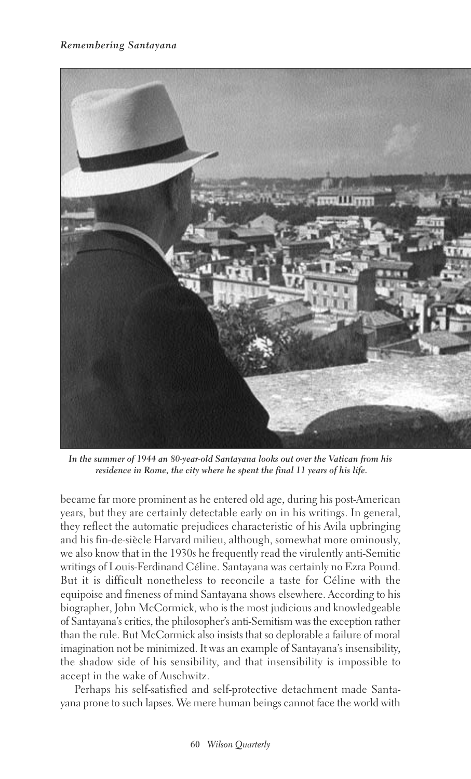

*In the summer of 1944 an 80-year-old Santayana looks out over the Vatican from his residence in Rome, the city where he spent the final 11 years of his life.*

became far more prominent as he entered old age, during his post-American years, but they are certainly detectable early on in his writings. In general, they reflect the automatic prejudices characteristic of his Avila upbringing and his fin-de-siècle Harvard milieu, although, somewhat more ominously, we also know that in the 1930s he frequently read the virulently anti-Semitic writings of Louis-Ferdinand Céline. Santayana was certainly no Ezra Pound. But it is difficult nonetheless to reconcile a taste for Céline with the equipoise and fineness of mind Santayana shows elsewhere. According to his biographer, John McCormick, who is the most judicious and knowledgeable of Santayana's critics, the philosopher's anti-Semitism was the exception rather than the rule. But McCormick also insists that so deplorable a failure of moral imagination not be minimized. It was an example of Santayana's insensibility, the shadow side of his sensibility, and that insensibility is impossible to accept in the wake of Auschwitz.

Perhaps his self-satisfied and self-protective detachment made Santayana prone to such lapses. We mere human beings cannot face the world with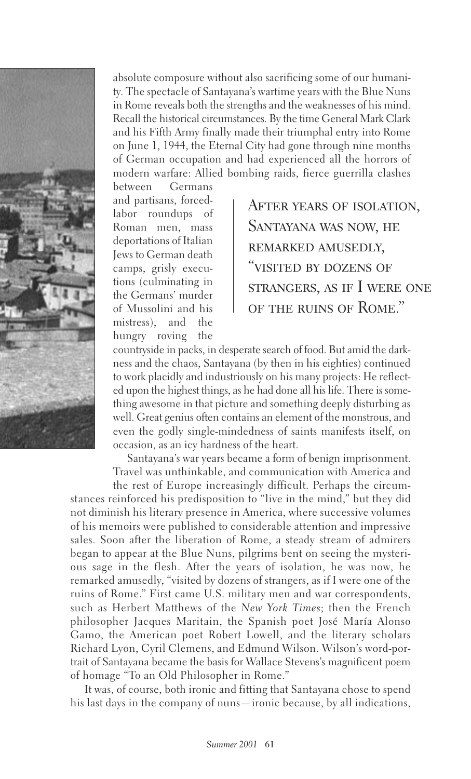

absolute composure without also sacrificing some of our humanity. The spectacle of Santayana's wartime years with the Blue Nuns in Rome reveals both the strengths and the weaknesses of his mind. Recall the historical circumstances. By the time General Mark Clark and his Fifth Army finally made their triumphal entry into Rome on June 1, 1944, the Eternal City had gone through nine months of German occupation and had experienced all the horrors of modern warfare: Allied bombing raids, fierce guerrilla clashes

between Germans and partisans, forcedlabor roundups of Roman men, mass deportations of Italian Jews to German death camps, grisly executions (culminating in the Germans' murder of Mussolini and his mistress), and the hungry roving the

After years of isolation, Santayana was now, he remarked amusedly, "visited by dozens of strangers, as if I were one of the ruins of Rome."

countryside in packs, in desperate search of food. But amid the darkness and the chaos, Santayana (by then in his eighties) continued to work placidly and industriously on his many projects: He reflected upon the highest things, as he had done all his life. There is something awesome in that picture and something deeply disturbing as well. Great genius often contains an element of the monstrous, and even the godly single-mindedness of saints manifests itself, on occasion, as an icy hardness of the heart.

Santayana's war years became a form of benign imprisonment. Travel was unthinkable, and communication with America and

the rest of Europe increasingly difficult. Perhaps the circumstances reinforced his predisposition to "live in the mind," but they did not diminish his literary presence in America, where successive volumes of his memoirs were published to considerable attention and impressive sales. Soon after the liberation of Rome, a steady stream of admirers began to appear at the Blue Nuns, pilgrims bent on seeing the mysterious sage in the flesh. After the years of isolation, he was now, he remarked amusedly, "visited by dozens of strangers, as if I were one of the ruins of Rome." First came U.S. military men and war correspondents, such as Herbert Matthews of the *New York Times*; then the French philosopher Jacques Maritain, the Spanish poet José María Alonso Gamo, the American poet Robert Lowell, and the literary scholars Richard Lyon, Cyril Clemens, and Edmund Wilson. Wilson's word-portrait of Santayana became the basis for Wallace Stevens's magnificent poem of homage "To an Old Philosopher in Rome."

It was, of course, both ironic and fitting that Santayana chose to spend his last days in the company of nuns—ironic because, by all indications,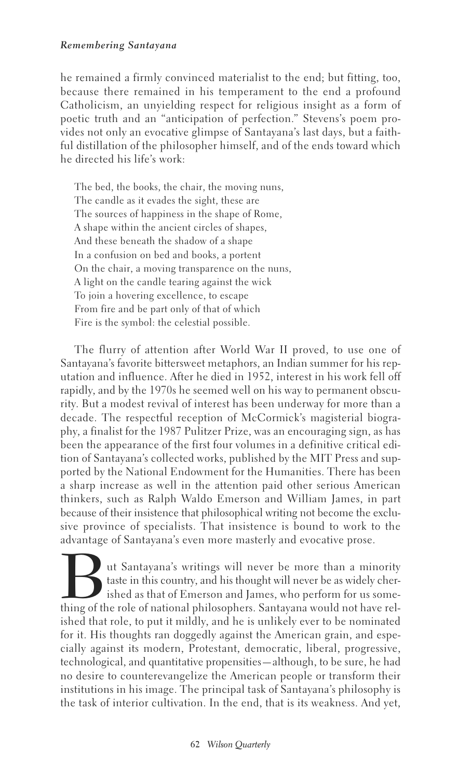he remained a firmly convinced materialist to the end; but fitting, too, because there remained in his temperament to the end a profound Catholicism, an unyielding respect for religious insight as a form of poetic truth and an "anticipation of perfection." Stevens's poem provides not only an evocative glimpse of Santayana's last days, but a faithful distillation of the philosopher himself, and of the ends toward which he directed his life's work:

The bed, the books, the chair, the moving nuns, The candle as it evades the sight, these are The sources of happiness in the shape of Rome, A shape within the ancient circles of shapes, And these beneath the shadow of a shape In a confusion on bed and books, a portent On the chair, a moving transparence on the nuns, A light on the candle tearing against the wick To join a hovering excellence, to escape From fire and be part only of that of which Fire is the symbol: the celestial possible.

The flurry of attention after World War II proved, to use one of Santayana's favorite bittersweet metaphors, an Indian summer for his reputation and influence. After he died in 1952, interest in his work fell off rapidly, and by the 1970s he seemed well on his way to permanent obscurity. But a modest revival of interest has been underway for more than a decade. The respectful reception of McCormick's magisterial biography, a finalist for the 1987 Pulitzer Prize, was an encouraging sign, as has been the appearance of the first four volumes in a definitive critical edition of Santayana's collected works, published by the MIT Press and supported by the National Endowment for the Humanities. There has been a sharp increase as well in the attention paid other serious American thinkers, such as Ralph Waldo Emerson and William James, in part because of their insistence that philosophical writing not become the exclusive province of specialists. That insistence is bound to work to the advantage of Santayana's even more masterly and evocative prose.

and the role of santayana's writings will never be more than a minority taste in this country, and his thought will never be as widely cherished as that of Emerson and James, who perform for us something of the role of nat taste in this country, and his thought will never be as widely cherished as that of Emerson and James, who perform for us someished that role, to put it mildly, and he is unlikely ever to be nominated for it. His thoughts ran doggedly against the American grain, and especially against its modern, Protestant, democratic, liberal, progressive, technological, and quantitative propensities—although, to be sure, he had no desire to counterevangelize the American people or transform their institutions in his image. The principal task of Santayana's philosophy is the task of interior cultivation. In the end, that is its weakness. And yet,